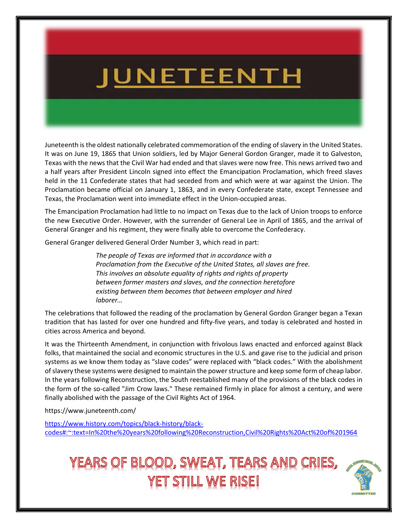# <u>JUNETEENTH</u>

Juneteenth is the oldest nationally celebrated commemoration of the ending of slavery in the United States. It was on June 19, 1865 that Union soldiers, led by Major General Gordon Granger, made it to Galveston, Texas with the news that the Civil War had ended and that slaves were now free. This news arrived two and a half years after President Lincoln signed into effect the Emancipation Proclamation, which freed slaves held in the 11 Confederate states that had seceded from and which were at war against the Union. The Proclamation became official on January 1, 1863, and in every Confederate state, except Tennessee and Texas, the Proclamation went into immediate effect in the Union-occupied areas.

The Emancipation Proclamation had little to no impact on Texas due to the lack of Union troops to enforce the new Executive Order. However, with the surrender of General Lee in April of 1865, and the arrival of General Granger and his regiment, they were finally able to overcome the Confederacy.

General Granger delivered General Order Number 3, which read in part:

The people of Texas are informed that in accordance with a Proclamation from the Executive of the United States, all slaves are free. This involves an absolute equality of rights and rights of property between former masters and slaves, and the connection heretofore existing between them becomes that between employer and hired laborer…

The celebrations that followed the reading of the proclamation by General Gordon Granger began a Texan tradition that has lasted for over one hundred and fifty-five years, and today is celebrated and hosted in cities across America and beyond.

It was the Thirteenth Amendment, in conjunction with frivolous laws enacted and enforced against Black folks, that maintained the social and economic structures in the U.S. and gave rise to the judicial and prison systems as we know them today as "slave codes" were replaced with "black codes." With the abolishment of slavery these systems were designed to maintain the power structure and keep some form of cheap labor. In the years following Reconstruction, the South reestablished many of the provisions of the black codes in the form of the so-called "Jim Crow laws." These remained firmly in place for almost a century, and were finally abolished with the passage of the Civil Rights Act of 1964.

https://www.juneteenth.com/

https://www.history.com/topics/black-history/blackcodes#:~:text=In%20the%20years%20following%20Reconstruction,Civil%20Rights%20Act%20of%201964

## YEARS OF BLOOD, SWEAT, TEARS AND CRIES, YET STILL WE RISE!